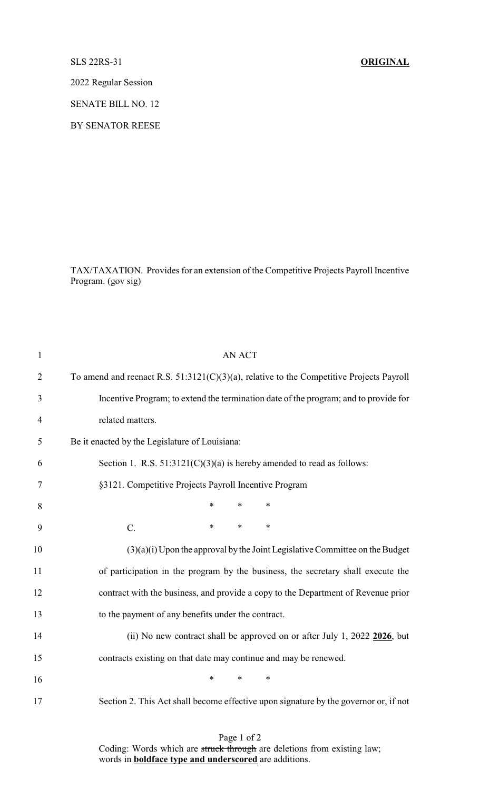SLS 22RS-31 **ORIGINAL**

2022 Regular Session

SENATE BILL NO. 12

BY SENATOR REESE

TAX/TAXATION. Provides for an extension of the Competitive Projects Payroll Incentive Program. (gov sig)

| $\mathbf{1}$   | <b>AN ACT</b>                                                                               |
|----------------|---------------------------------------------------------------------------------------------|
| $\overline{2}$ | To amend and reenact R.S. $51:3121(C)(3)(a)$ , relative to the Competitive Projects Payroll |
| 3              | Incentive Program; to extend the termination date of the program; and to provide for        |
| $\overline{4}$ | related matters.                                                                            |
| 5              | Be it enacted by the Legislature of Louisiana:                                              |
| 6              | Section 1. R.S. $51:3121(C)(3)(a)$ is hereby amended to read as follows:                    |
| $\tau$         | §3121. Competitive Projects Payroll Incentive Program                                       |
| 8              | $\ast$<br>$\ast$<br>$\ast$                                                                  |
| 9              | $\ast$<br>$C$ .<br>$\ast$<br>$\ast$                                                         |
| 10             | $(3)(a)(i)$ Upon the approval by the Joint Legislative Committee on the Budget              |
| 11             | of participation in the program by the business, the secretary shall execute the            |
| 12             | contract with the business, and provide a copy to the Department of Revenue prior           |
| 13             | to the payment of any benefits under the contract.                                          |
| 14             | (ii) No new contract shall be approved on or after July 1, $2022$ $2026$ , but              |
| 15             | contracts existing on that date may continue and may be renewed.                            |
| 16             | $\ast$<br>$\ast$<br>$\ast$                                                                  |
| 17             | Section 2. This Act shall become effective upon signature by the governor or, if not        |
|                |                                                                                             |

Page 1 of 2 Coding: Words which are struck through are deletions from existing law; words in **boldface type and underscored** are additions.